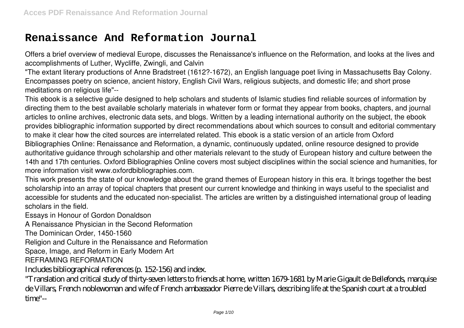# **Renaissance And Reformation Journal**

Offers a brief overview of medieval Europe, discusses the Renaissance's influence on the Reformation, and looks at the lives and accomplishments of Luther, Wycliffe, Zwingli, and Calvin

"The extant literary productions of Anne Bradstreet (1612?-1672), an English language poet living in Massachusetts Bay Colony. Encompasses poetry on science, ancient history, English Civil Wars, religious subjects, and domestic life; and short prose meditations on religious life"--

This ebook is a selective guide designed to help scholars and students of Islamic studies find reliable sources of information by directing them to the best available scholarly materials in whatever form or format they appear from books, chapters, and journal articles to online archives, electronic data sets, and blogs. Written by a leading international authority on the subject, the ebook provides bibliographic information supported by direct recommendations about which sources to consult and editorial commentary to make it clear how the cited sources are interrelated related. This ebook is a static version of an article from Oxford Bibliographies Online: Renaissance and Reformation, a dynamic, continuously updated, online resource designed to provide authoritative guidance through scholarship and other materials relevant to the study of European history and culture between the 14th and 17th centuries. Oxford Bibliographies Online covers most subject disciplines within the social science and humanities, for more information visit www.oxfordbibliographies.com.

This work presents the state of our knowledge about the grand themes of European history in this era. It brings together the best scholarship into an array of topical chapters that present our current knowledge and thinking in ways useful to the specialist and accessible for students and the educated non-specialist. The articles are written by a distinguished international group of leading scholars in the field.

Essays in Honour of Gordon Donaldson

A Renaissance Physician in the Second Reformation

The Dominican Order, 1450-1560

Religion and Culture in the Renaissance and Reformation

Space, Image, and Reform in Early Modern Art

REFRAMING REFORMATION

Includes bibliographical references (p. 152-156) and index.

"Translation and critical study of thirty-seven letters to friends at home, written 1679-1681 by Marie Gigault de Bellefonds, marquise de Villars, French noblewoman and wife of French ambassador Pierre de Villars, describing life at the Spanish court at a troubled time"--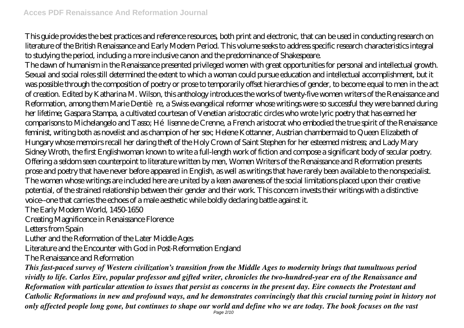This guide provides the best practices and reference resources, both print and electronic, that can be used in conducting research on literature of the British Renaissance and Early Modern Period. This volume seeks to address specific research characteristics integral to studying the period, including a more inclusive canon and the predominance of Shakespeare.

The dawn of humanism in the Renaissance presented privileged women with great opportunities for personal and intellectual growth. Sexual and social roles still determined the extent to which a woman could pursue education and intellectual accomplishment, but it was possible through the composition of poetry or prose to temporarily offset hierarchies of gender, to become equal to men in the act of creation. Edited by Katharina M. Wilson, this anthology introduces the works of twenty-five women writers of the Renaissance and Reformation, among them Marie Dentière, a Swiss evangelical reformer whose writings were so successful they were banned during her lifetime; Gaspara Stampa, a cultivated courtesan of Venetian aristocratic circles who wrote lyric poetry that has earned her comparisons to Michelangelo and Tasso; Hélisenne de Crenne, a French aristocrat who embodied the true spirit of the Renaissance feminist, writing both as novelist and as champion of her sex; Helene Kottanner, Austrian chambermaid to Queen Elizabeth of Hungary whose memoirs recall her daring theft of the Holy Crown of Saint Stephen for her esteemed mistress; and Lady Mary Sidney Wroth, the first Englishwoman known to write a full-length work of fiction and compose a significant body of secular poetry. Offering a seldom seen counterpoint to literature written by men, Women Writers of the Renaissance and Reformation presents prose and poetry that have never before appeared in English, as well as writings that have rarely been available to the nonspecialist. The women whose writings are included here are united by a keen awareness of the social limitations placed upon their creative potential, of the strained relationship between their gender and their work. This concern invests their writings with a distinctive voice--one that carries the echoes of a male aesthetic while boldly declaring battle against it.

The Early Modern World, 1450-1650

Creating Magnificence in Renaissance Florence

Letters from Spain

Luther and the Reformation of the Later Middle Ages

Literature and the Encounter with God in Post-Reformation England

The Renaissance and Reformation

*This fast-paced survey of Western civilization's transition from the Middle Ages to modernity brings that tumultuous period vividly to life. Carlos Eire, popular professor and gifted writer, chronicles the two-hundred-year era of the Renaissance and Reformation with particular attention to issues that persist as concerns in the present day. Eire connects the Protestant and Catholic Reformations in new and profound ways, and he demonstrates convincingly that this crucial turning point in history not only affected people long gone, but continues to shape our world and define who we are today. The book focuses on the vast*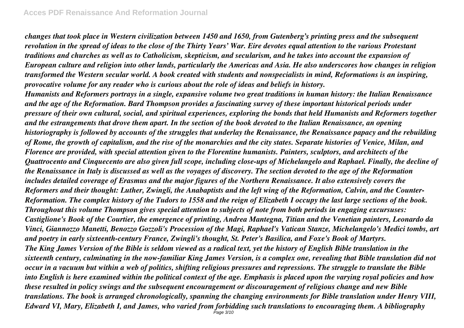*changes that took place in Western civilization between 1450 and 1650, from Gutenberg's printing press and the subsequent revolution in the spread of ideas to the close of the Thirty Years' War. Eire devotes equal attention to the various Protestant traditions and churches as well as to Catholicism, skepticism, and secularism, and he takes into account the expansion of European culture and religion into other lands, particularly the Americas and Asia. He also underscores how changes in religion transformed the Western secular world. A book created with students and nonspecialists in mind, Reformations is an inspiring, provocative volume for any reader who is curious about the role of ideas and beliefs in history.*

*Humanists and Reformers portrays in a single, expansive volume two great traditions in human history: the Italian Renaissance and the age of the Reformation. Bard Thompson provides a fascinating survey of these important historical periods under pressure of their own cultural, social, and spiritual experiences, exploring the bonds that held Humanists and Reformers together and the estrangements that drove them apart. In the section of the book devoted to the Italian Renaissance, an opening historiography is followed by accounts of the struggles that underlay the Renaissance, the Renaissance papacy and the rebuilding of Rome, the growth of capitalism, and the rise of the monarchies and the city states. Separate histories of Venice, Milan, and Florence are provided, with special attention given to the Florentine humanists. Painters, sculptors, and architects of the Quattrocento and Cinquecento are also given full scope, including close-ups of Michelangelo and Raphael. Finally, the decline of the Renaissance in Italy is discussed as well as the voyages of discovery. The section devoted to the age of the Reformation includes detailed coverage of Erasmus and the major figures of the Northern Renaissance. It also extensively covers the Reformers and their thought: Luther, Zwingli, the Anabaptists and the left wing of the Reformation, Calvin, and the Counter-Reformation. The complex history of the Tudors to 1558 and the reign of Elizabeth I occupy the last large sections of the book. Throughout this volume Thompson gives special attention to subjects of note from both periods in engaging excursuses: Castiglione's Book of the Courtier, the emergence of printing, Andrea Mantegna, Titian and the Venetian painters, Leonardo da Vinci, Giannozzo Manetti, Benozzo Gozzoli's Procession of the Magi, Raphael's Vatican Stanze, Michelangelo's Medici tombs, art and poetry in early sixteenth-century France, Zwingli's thought, St. Peter's Basilica, and Foxe's Book of Martyrs. The King James Version of the Bible is seldom viewed as a radical text, yet the history of English Bible translation in the sixteenth century, culminating in the now-familiar King James Version, is a complex one, revealing that Bible translation did not occur in a vacuum but within a web of politics, shifting religious pressures and repressions. The struggle to translate the Bible into English is here examined within the political context of the age. Emphasis is placed upon the varying royal policies and how these resulted in policy swings and the subsequent encouragement or discouragement of religious change and new Bible translations. The book is arranged chronologically, spanning the changing environments for Bible translation under Henry VIII, Edward VI, Mary, Elizabeth I, and James, who varied from forbidding such translations to encouraging them. A bibliography*  $P$ age  $3/10$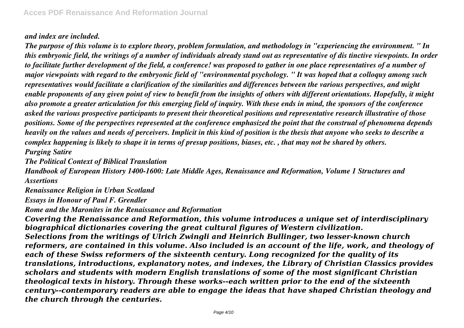## *and index are included.*

*The purpose of this volume is to explore theory, problem formulation, and methodology in "experiencing the environment. " In this embryonic field, the writings of a number of individuals already stand out as representative of dis tinctive viewpoints. In order to facilitate further development of the field, a conference! was proposed to gather in one place representatives of a number of major viewpoints with regard to the embryonic field of "environmental psychology. " It was hoped that a colloquy among such representatives would facilitate a clarification of the similarities and differences between the various perspectives, and might enable proponents of any given point of view to benefit from the insights of others with different orientations. Hopefully, it might also promote a greater articulation for this emerging field of inquiry. With these ends in mind, the sponsors of the conference asked the various prospective participants to present their theoretical positions and representative research illustrative of those positions. Some of the perspectives represented at the conference emphasized the point that the construal of phenomena depends heavily on the values and needs of perceivers. Implicit in this kind of position is the thesis that anyone who seeks to describe a complex happening is likely to shape it in terms of presup positions, biases, etc. , that may not be shared by others. Purging Satire*

*The Political Context of Biblical Translation*

*Handbook of European History 1400-1600: Late Middle Ages, Renaissance and Reformation, Volume 1 Structures and Assertions*

*Renaissance Religion in Urban Scotland Essays in Honour of Paul F. Grendler*

*Rome and the Maronites in the Renaissance and Reformation*

*Covering the Renaissance and Reformation, this volume introduces a unique set of interdisciplinary biographical dictionaries covering the great cultural figures of Western civilization. Selections from the writings of Ulrich Zwingli and Heinrich Bullinger, two lesser-known church reformers, are contained in this volume. Also included is an account of the life, work, and theology of each of these Swiss reformers of the sixteenth century. Long recognized for the quality of its translations, introductions, explanatory notes, and indexes, the Library of Christian Classics provides scholars and students with modern English translations of some of the most significant Christian theological texts in history. Through these works--each written prior to the end of the sixteenth century--contemporary readers are able to engage the ideas that have shaped Christian theology and the church through the centuries.*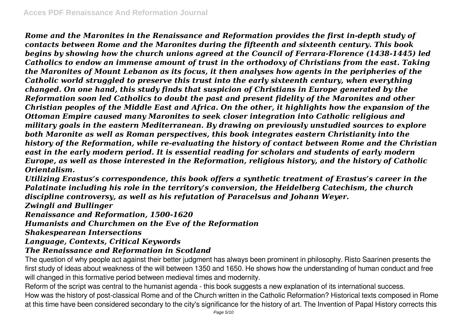*Rome and the Maronites in the Renaissance and Reformation provides the first in-depth study of contacts between Rome and the Maronites during the fifteenth and sixteenth century. This book begins by showing how the church unions agreed at the Council of Ferrara-Florence (1438-1445) led Catholics to endow an immense amount of trust in the orthodoxy of Christians from the east. Taking the Maronites of Mount Lebanon as its focus, it then analyses how agents in the peripheries of the Catholic world struggled to preserve this trust into the early sixteenth century, when everything changed. On one hand, this study finds that suspicion of Christians in Europe generated by the Reformation soon led Catholics to doubt the past and present fidelity of the Maronites and other Christian peoples of the Middle East and Africa. On the other, it highlights how the expansion of the Ottoman Empire caused many Maronites to seek closer integration into Catholic religious and military goals in the eastern Mediterranean. By drawing on previously unstudied sources to explore both Maronite as well as Roman perspectives, this book integrates eastern Christianity into the history of the Reformation, while re-evaluating the history of contact between Rome and the Christian east in the early modern period. It is essential reading for scholars and students of early modern Europe, as well as those interested in the Reformation, religious history, and the history of Catholic Orientalism.*

*Utilizing Erastus's correspondence, this book offers a synthetic treatment of Erastus's career in the Palatinate including his role in the territory's conversion, the Heidelberg Catechism, the church discipline controversy, as well as his refutation of Paracelsus and Johann Weyer. Zwingli and Bullinger*

*Renaissance and Reformation, 1500-1620*

### *Humanists and Churchmen on the Eve of the Reformation*

### *Shakespearean Intersections*

## *Language, Contexts, Critical Keywords*

## *The Renaissance and Reformation in Scotland*

The question of why people act against their better judgment has always been prominent in philosophy. Risto Saarinen presents the first study of ideas about weakness of the will between 1350 and 1650. He shows how the understanding of human conduct and free will changed in this formative period between medieval times and modernity.

Reform of the script was central to the humanist agenda - this book suggests a new explanation of its international success.

How was the history of post-classical Rome and of the Church written in the Catholic Reformation? Historical texts composed in Rome at this time have been considered secondary to the city's significance for the history of art. The Invention of Papal History corrects this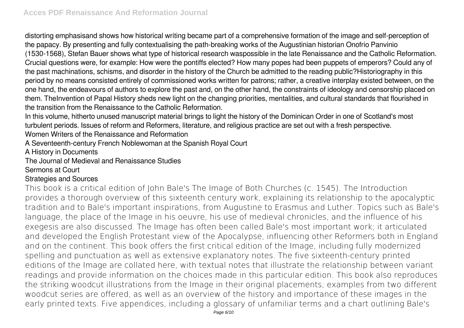distorting emphasisand shows how historical writing became part of a comprehensive formation of the image and self-perception of the papacy. By presenting and fully contextualising the path-breaking works of the Augustinian historian Onofrio Panvinio (1530-1568), Stefan Bauer shows what type of historical research waspossible in the late Renaissance and the Catholic Reformation. Crucial questions were, for example: How were the pontiffs elected? How many popes had been puppets of emperors? Could any of the past machinations, schisms, and disorder in the history of the Church be admitted to the reading public?Historiography in this period by no means consisted entirely of commissioned works written for patrons; rather, a creative interplay existed between, on the one hand, the endeavours of authors to explore the past and, on the other hand, the constraints of ideology and censorship placed on them. TheInvention of Papal History sheds new light on the changing priorities, mentalities, and cultural standards that flourished in the transition from the Renaissance to the Catholic Reformation.

In this volume, hitherto unused manuscript material brings to light the history of the Dominican Order in one of Scotland's most turbulent periods. Issues of reform and Reformers, literature, and religious practice are set out with a fresh perspective. Women Writers of the Renaissance and Reformation

A Seventeenth-century French Noblewoman at the Spanish Royal Court

A History in Documents

The Journal of Medieval and Renaissance Studies

### Sermons at Court

## Strategies and Sources

This book is a critical edition of John Bale's The Image of Both Churches (c. 1545). The Introduction provides a thorough overview of this sixteenth century work, explaining its relationship to the apocalyptic tradition and to Bale's important inspirations, from Augustine to Erasmus and Luther. Topics such as Bale's language, the place of the Image in his oeuvre, his use of medieval chronicles, and the influence of his exegesis are also discussed. The Image has often been called Bale's most important work; it articulated and developed the English Protestant view of the Apocalypse, influencing other Reformers both in England and on the continent. This book offers the first critical edition of the Image, including fully modernized spelling and punctuation as well as extensive explanatory notes. The five sixteenth-century printed editions of the Image are collated here, with textual notes that illustrate the relationship between variant readings and provide information on the choices made in this particular edition. This book also reproduces the striking woodcut illustrations from the Image in their original placements; examples from two different woodcut series are offered, as well as an overview of the history and importance of these images in the early printed texts. Five appendices, including a glossary of unfamiliar terms and a chart outlining Bale's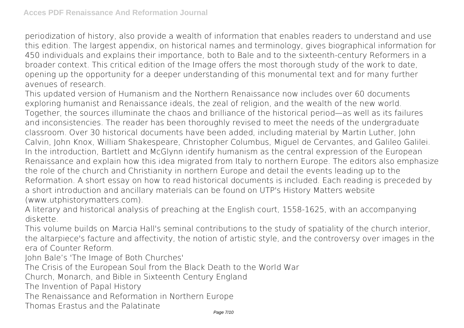periodization of history, also provide a wealth of information that enables readers to understand and use this edition. The largest appendix, on historical names and terminology, gives biographical information for 450 individuals and explains their importance, both to Bale and to the sixteenth-century Reformers in a broader context. This critical edition of the Image offers the most thorough study of the work to date, opening up the opportunity for a deeper understanding of this monumental text and for many further avenues of research.

This updated version of Humanism and the Northern Renaissance now includes over 60 documents exploring humanist and Renaissance ideals, the zeal of religion, and the wealth of the new world. Together, the sources illuminate the chaos and brilliance of the historical period—as well as its failures and inconsistencies. The reader has been thoroughly revised to meet the needs of the undergraduate classroom. Over 30 historical documents have been added, including material by Martin Luther, John Calvin, John Knox, William Shakespeare, Christopher Columbus, Miguel de Cervantes, and Galileo Galilei. In the introduction, Bartlett and McGlynn identify humanism as the central expression of the European Renaissance and explain how this idea migrated from Italy to northern Europe. The editors also emphasize the role of the church and Christianity in northern Europe and detail the events leading up to the Reformation. A short essay on how to read historical documents is included. Each reading is preceded by a short introduction and ancillary materials can be found on UTP's History Matters website (www.utphistorymatters.com).

A literary and historical analysis of preaching at the English court, 1558-1625, with an accompanying diskette.

This volume builds on Marcia Hall's seminal contributions to the study of spatiality of the church interior, the altarpiece's facture and affectivity, the notion of artistic style, and the controversy over images in the era of Counter Reform.

John Bale's 'The Image of Both Churches'

The Crisis of the European Soul from the Black Death to the World War

Church, Monarch, and Bible in Sixteenth Century England

The Invention of Papal History

The Renaissance and Reformation in Northern Europe

Thomas Erastus and the Palatinate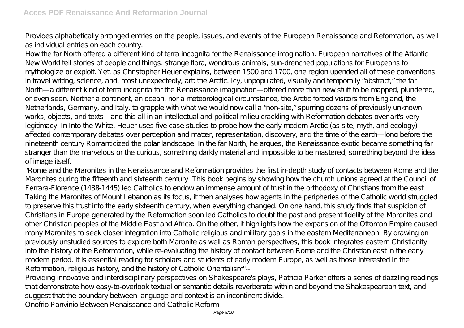Provides alphabetically arranged entries on the people, issues, and events of the European Renaissance and Reformation, as well as individual entries on each country.

How the far North offered a different kind of terra incognita for the Renaissance imagination. European narratives of the Atlantic New World tell stories of people and things: strange flora, wondrous animals, sun-drenched populations for Europeans to mythologize or exploit. Yet, as Christopher Heuer explains, between 1500 and 1700, one region upended all of these conventions in travel writing, science, and, most unexpectedly, art: the Arctic. Icy, unpopulated, visually and temporally "abstract," the far North—a different kind of terra incognita for the Renaissance imagination—offered more than new stuff to be mapped, plundered, or even seen. Neither a continent, an ocean, nor a meteorological circumstance, the Arctic forced visitors from England, the Netherlands, Germany, and Italy, to grapple with what we would now call a "non-site," spurring dozens of previously unknown works, objects, and texts—and this all in an intellectual and political milieu crackling with Reformation debates over art's very legitimacy. In Into the White, Heuer uses five case studies to probe how the early modern Arctic (as site, myth, and ecology) affected contemporary debates over perception and matter, representation, discovery, and the time of the earth—long before the nineteenth century Romanticized the polar landscape. In the far North, he argues, the Renaissance exotic became something far stranger than the marvelous or the curious, something darkly material and impossible to be mastered, something beyond the idea of image itself.

"Rome and the Maronites in the Renaissance and Reformation provides the first in-depth study of contacts between Rome and the Maronites during the fifteenth and sixteenth century. This book begins by showing how the church unions agreed at the Council of Ferrara-Florence (1438-1445) led Catholics to endow an immense amount of trust in the orthodoxy of Christians from the east. Taking the Maronites of Mount Lebanon as its focus, it then analyses how agents in the peripheries of the Catholic world struggled to preserve this trust into the early sixteenth century, when everything changed. On one hand, this study finds that suspicion of Christians in Europe generated by the Reformation soon led Catholics to doubt the past and present fidelity of the Maronites and other Christian peoples of the Middle East and Africa. On the other, it highlights how the expansion of the Ottoman Empire caused many Maronites to seek closer integration into Catholic religious and military goals in the eastern Mediterranean. By drawing on previously unstudied sources to explore both Maronite as well as Roman perspectives, this book integrates eastern Christianity into the history of the Reformation, while re-evaluating the history of contact between Rome and the Christian east in the early modern period. It is essential reading for scholars and students of early modern Europe, as well as those interested in the Reformation, religious history, and the history of Catholic Orientalism"--

Providing innovative and interdisciplinary perspectives on Shakespeare's plays, Patricia Parker offers a series of dazzling readings that demonstrate how easy-to-overlook textual or semantic details reverberate within and beyond the Shakespearean text, and suggest that the boundary between language and context is an incontinent divide.

Onofrio Panvinio Between Renaissance and Catholic Reform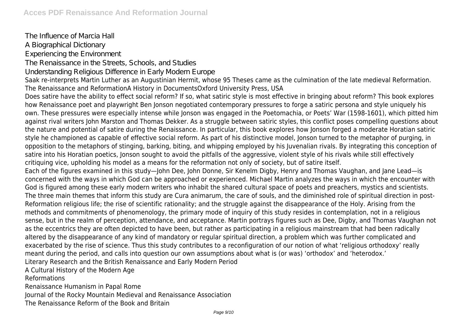The Influence of Marcia Hall A Biographical Dictionary Experiencing the Environment The Renaissance in the Streets, Schools, and Studies Understanding Religious Difference in Early Modern Europe Saak re-interprets Martin Luther as an Augustinian Hermit, whose 95 Theses came as the culmination of the late medieval Reformation. The Renaissance and ReformationA History in DocumentsOxford University Press, USA Does satire have the ability to effect social reform? If so, what satiric style is most effective in bringing about reform? This book explores how Renaissance poet and playwright Ben Jonson negotiated contemporary pressures to forge a satiric persona and style uniquely his own. These pressures were especially intense while Jonson was engaged in the Poetomachia, or Poets' War (1598-1601), which pitted him against rival writers John Marston and Thomas Dekker. As a struggle between satiric styles, this conflict poses compelling questions about the nature and potential of satire during the Renaissance. In particular, this book explores how Jonson forged a moderate Horatian satiric style he championed as capable of effective social reform. As part of his distinctive model, Jonson turned to the metaphor of purging, in opposition to the metaphors of stinging, barking, biting, and whipping employed by his Juvenalian rivals. By integrating this conception of satire into his Horatian poetics, Jonson sought to avoid the pitfalls of the aggressive, violent style of his rivals while still effectively critiquing vice, upholding his model as a means for the reformation not only of society, but of satire itself. Each of the figures examined in this study—John Dee, John Donne, Sir Kenelm Digby, Henry and Thomas Vaughan, and Jane Lead—is concerned with the ways in which God can be approached or experienced. Michael Martin analyzes the ways in which the encounter with God is figured among these early modern writers who inhabit the shared cultural space of poets and preachers, mystics and scientists. The three main themes that inform this study are Cura animarum, the care of souls, and the diminished role of spiritual direction in post-Reformation religious life; the rise of scientific rationality; and the struggle against the disappearance of the Holy. Arising from the methods and commitments of phenomenology, the primary mode of inquiry of this study resides in contemplation, not in a religious sense, but in the realm of perception, attendance, and acceptance. Martin portrays figures such as Dee, Digby, and Thomas Vaughan not as the eccentrics they are often depicted to have been, but rather as participating in a religious mainstream that had been radically altered by the disappearance of any kind of mandatory or regular spiritual direction, a problem which was further complicated and exacerbated by the rise of science. Thus this study contributes to a reconfiguration of our notion of what 'religious orthodoxy' really meant during the period, and calls into question our own assumptions about what is (or was) 'orthodox' and 'heterodox.' Literary Research and the British Renaissance and Early Modern Period A Cultural History of the Modern Age Reformations Renaissance Humanism in Papal Rome Journal of the Rocky Mountain Medieval and Renaissance Association The Renaissance Reform of the Book and Britain